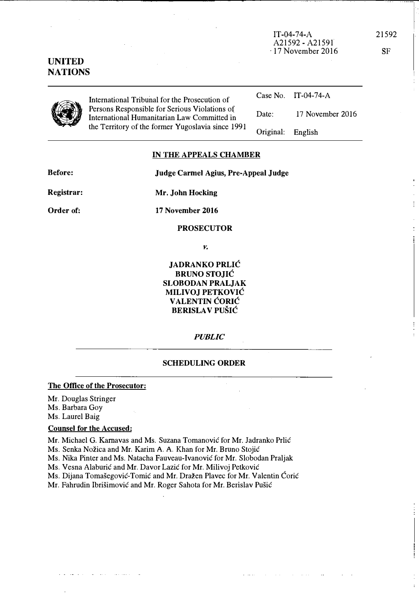, 17 November 2016 International Tribunal for the Prosecution of<br>Persons Responsible for Serious Violations of<br>International Humanitarian Law Committed<br>the Territory of the former Yugoslavia since Persons Responsible for Serious Violations of International Humanitarian Law Committed in Case No, IT-04-74-A Date: 17 November 2016

## IN THE APPEALS CHAMBER

Judge Carmel Agius, Pre-Appeal Judge

Before:

Mr. John Hocking

17 November 2016

the Territory of the former Yugoslavia since 1991

Order of:

Registrar:

PROSECUTOR

v.

JADRANKO PRLIC BRUNO STOJIC SLOBODAN PRALJAK MILIVOJ PETKOVIC VALENTIN CORIC BERISLA V PUSIC

# **PUBLIC**

## SCHEDULING ORDER

## The Office of the Prosecutor:

Mr. Douglas Stringer Ms, Barbara Goy

Ms, Laurel Baig

## Counsel for the Accused:

Mr. Michael G, Karnavas and Ms, Suzana Tomanovic for Mr. Iadranko Prlic

Ms. Senka Nožica and Mr. Karim A. A. Khan for Mr. Bruno Stojić

Ms, Nika Pinler and Ms, Natacha Fauveau-Ivanovic for Mr. Slobodan Praljak

Ms. Vesna Alaburić and Mr. Davor Lazić for Mr. Milivoj Petković

Ms. Dijana Tomašegović-Tomić and Mr. Dražen Plavec for Mr. Valentin Ćorić

Mr. Fahrudin Ibrisimovic and Mr. Roger Sahota for Mr. Berislav Pusic

 $\ddot{\phantom{a}}$ 

# UNITED NATIONS

English

Original:

21592

SF